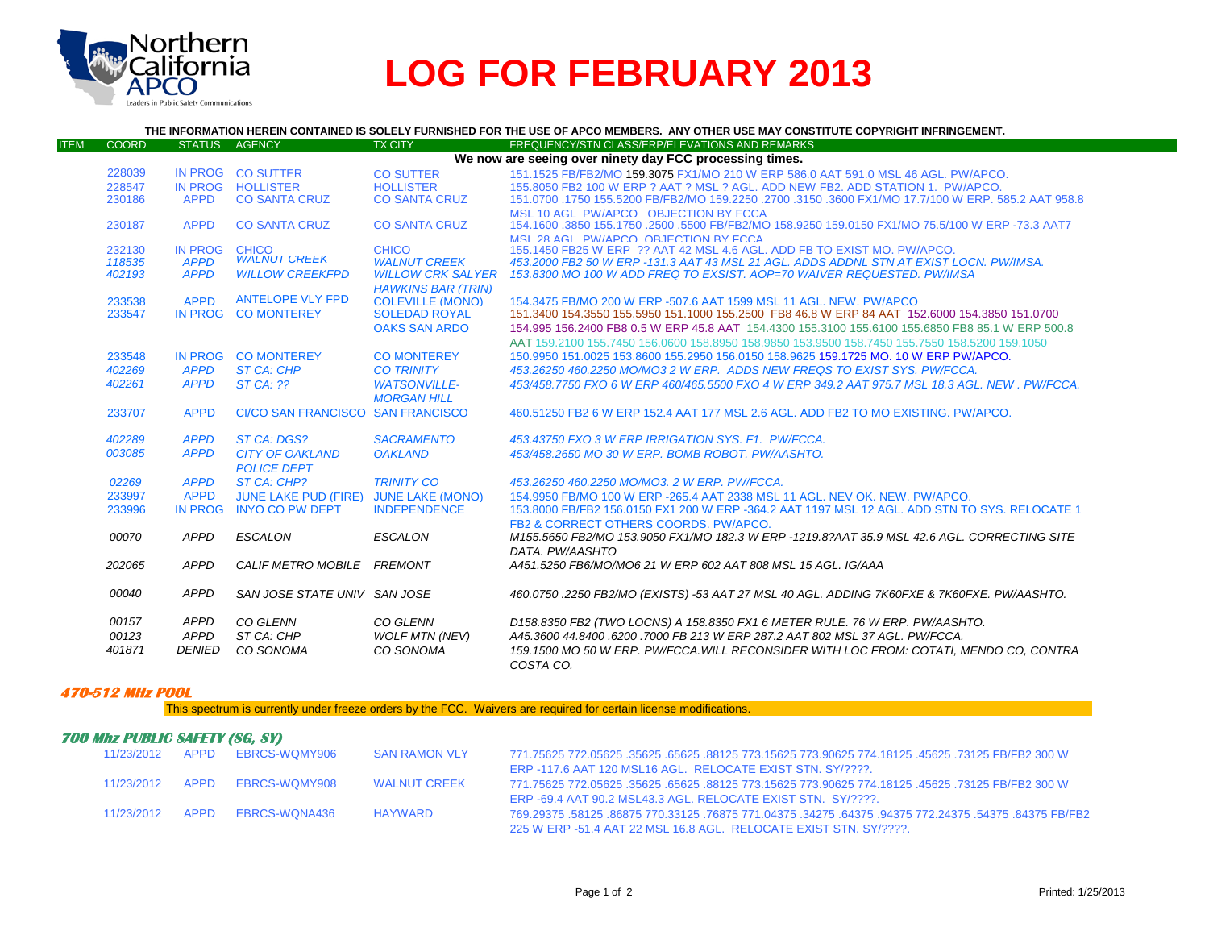

## **LOG FOR FEBRUARY 2013**

## **THE INFORMATION HEREIN CONTAINED IS SOLELY FURNISHED FOR THE USE OF APCO MEMBERS. ANY OTHER USE MAY CONSTITUTE COPYRIGHT INFRINGEMENT.**

| <b>ITEM</b> | <b>COORD</b> | <b>STATUS</b>  | <b>AGENCY</b>                | <b>TX CITY</b>            | FREQUENCY/STN CLASS/ERP/ELEVATIONS AND REMARKS                                                      |
|-------------|--------------|----------------|------------------------------|---------------------------|-----------------------------------------------------------------------------------------------------|
|             |              |                |                              |                           | We now are seeing over ninety day FCC processing times.                                             |
|             | 228039       | IN PROG        | <b>CO SUTTER</b>             | <b>CO SUTTER</b>          | 151.1525 FB/FB2/MO 159.3075 FX1/MO 210 W ERP 586.0 AAT 591.0 MSL 46 AGL, PW/APCO.                   |
|             | 228547       |                | IN PROG HOLLISTER            | <b>HOLLISTER</b>          | 155,8050 FB2 100 W ERP ? AAT ? MSL ? AGL, ADD NEW FB2, ADD STATION 1, PW/APCO,                      |
|             | 230186       | <b>APPD</b>    | <b>CO SANTA CRUZ</b>         | <b>CO SANTA CRUZ</b>      | 151.0700 .1750 155.5200 FB/FB2/MO 159.2250 .2700 .3150 .3600 FX1/MO 17.7/100 W ERP, 585.2 AAT 958.8 |
|             |              |                |                              |                           | MSL 10 AGL PW/APCO OR JECTION BY ECCA                                                               |
|             | 230187       | <b>APPD</b>    | <b>CO SANTA CRUZ</b>         | <b>CO SANTA CRUZ</b>      | 154.1600 .3850 155.1750 .2500 .5500 FB/FB2/MO 158.9250 159.0150 FX1/MO 75.5/100 W ERP -73.3 AAT7    |
|             |              |                |                              |                           | MSL 28 AGL, PW/APCO, OBJECTION BY FCCA                                                              |
|             | 232130       | <b>IN PROG</b> | <b>CHICO</b>                 | <b>CHICO</b>              | 155,1450 FB25 W ERP ?? AAT 42 MSL 4.6 AGL, ADD FB TO EXIST MO, PW/APCO,                             |
|             | 118535       | <b>APPD</b>    | <b>WALNUT CREEK</b>          | <b>WALNUT CREEK</b>       | 453,2000 FB2 50 W ERP -131.3 AAT 43 MSL 21 AGL. ADDS ADDNL STN AT EXIST LOCN. PW/IMSA.              |
|             | 402193       | <b>APPD</b>    | <b>WILLOW CREEKFPD</b>       | <b>WILLOW CRK SALYER</b>  | 153.8300 MO 100 W ADD FREQ TO EXSIST. AOP=70 WAIVER REQUESTED. PW/IMSA                              |
|             |              |                |                              | <b>HAWKINS BAR (TRIN)</b> |                                                                                                     |
|             | 233538       | <b>APPD</b>    | <b>ANTELOPE VLY FPD</b>      | <b>COLEVILLE (MONO)</b>   | 154,3475 FB/MO 200 W ERP -507.6 AAT 1599 MSL 11 AGL, NEW, PW/APCO                                   |
|             | 233547       |                | IN PROG CO MONTEREY          | <b>SOLEDAD ROYAL</b>      | 151,3400 154,3550 155,5950 151,1000 155,2500 FB8 46.8 W ERP 84 AAT 152,6000 154,3850 151,0700       |
|             |              |                |                              | <b>OAKS SAN ARDO</b>      | 154,995 156,2400 FB8 0.5 W ERP 45.8 AAT 154,4300 155,3100 155,6100 155,6850 FB8 85.1 W ERP 500.8    |
|             |              |                |                              |                           | AAT 159,2100 155,7450 156,0600 158,8950 158,9850 153,9500 158,7450 155,7550 158,5200 159,1050       |
|             | 233548       | IN PROG        | <b>CO MONTEREY</b>           | <b>CO MONTEREY</b>        | 150,9950 151,0025 153,8600 155,2950 156,0150 158,9625 159,1725 MO, 10 W ERP PW/APCO,                |
|             |              |                |                              |                           |                                                                                                     |
|             | 402269       | <b>APPD</b>    | <b>ST CA: CHP</b>            | <b>CO TRINITY</b>         | 453.26250 460.2250 MO/MO3 2 W ERP. ADDS NEW FREQS TO EXIST SYS. PW/FCCA.                            |
|             | 402261       | <b>APPD</b>    | <b>ST CA: ??</b>             | <b>WATSONVILLE-</b>       | 453/458.7750 FXO 6 W ERP 460/465.5500 FXO 4 W ERP 349.2 AAT 975.7 MSL 18.3 AGL. NEW , PW/FCCA,      |
|             |              |                |                              | <b>MORGAN HILL</b>        |                                                                                                     |
|             | 233707       | <b>APPD</b>    | <b>CI/CO SAN FRANCISCO</b>   | <b>SAN FRANCISCO</b>      | 460.51250 FB2 6 W ERP 152.4 AAT 177 MSL 2.6 AGL, ADD FB2 TO MO EXISTING, PW/APCO,                   |
|             |              |                |                              |                           |                                                                                                     |
|             | 402289       | <b>APPD</b>    | ST CA: DGS?                  | <b>SACRAMENTO</b>         | 453.43750 FXO 3 W ERP IRRIGATION SYS. F1. PW/FCCA.                                                  |
|             | 003085       | <b>APPD</b>    | <b>CITY OF OAKLAND</b>       | <b>OAKLAND</b>            | 453/458.2650 MO 30 W ERP. BOMB ROBOT. PW/AASHTO.                                                    |
|             |              |                | <b>POLICE DEPT</b>           |                           |                                                                                                     |
|             | 02269        | <b>APPD</b>    | ST CA: CHP?                  | <b>TRINITY CO</b>         | 453.26250 460.2250 MO/MO3. 2 W ERP. PW/FCCA.                                                        |
|             | 233997       | <b>APPD</b>    | <b>JUNE LAKE PUD (FIRE)</b>  | <b>JUNE LAKE (MONO)</b>   | 154,9950 FB/MO 100 W ERP -265.4 AAT 2338 MSL 11 AGL, NEV OK, NEW, PW/APCO,                          |
|             | 233996       | <b>IN PROG</b> | <b>INYO CO PW DEPT</b>       | <b>INDEPENDENCE</b>       | 153,8000 FB/FB2 156,0150 FX1 200 W ERP -364,2 AAT 1197 MSL 12 AGL, ADD STN TO SYS, RELOCATE 1       |
|             |              |                |                              |                           | FB2 & CORRECT OTHERS COORDS, PW/APCO.                                                               |
|             | 00070        | <b>APPD</b>    | <b>ESCALON</b>               | <b>ESCALON</b>            | M155.5650 FB2/MO 153.9050 FX1/MO 182.3 W ERP -1219.8?AAT 35.9 MSL 42.6 AGL. CORRECTING SITE         |
|             |              |                |                              |                           |                                                                                                     |
|             |              |                |                              |                           | DATA, PW/AASHTO                                                                                     |
|             | 202065       | <b>APPD</b>    | <b>CALIF METRO MOBILE</b>    | FREMONT                   | A451.5250 FB6/MO/MO6 21 W ERP 602 AAT 808 MSL 15 AGL. IG/AAA                                        |
|             | 00040        | <b>APPD</b>    | SAN JOSE STATE UNIV SAN JOSE |                           | 460.0750 .2250 FB2/MO (EXISTS) -53 AAT 27 MSL 40 AGL. ADDING 7K60FXE & 7K60FXE. PW/AASHTO.          |
|             |              |                |                              |                           |                                                                                                     |
|             | 00157        | <b>APPD</b>    | CO GLENN                     | CO GLENN                  | D158.8350 FB2 (TWO LOCNS) A 158.8350 FX1 6 METER RULE. 76 W ERP. PW/AASHTO.                         |
|             | 00123        | APPD           | ST CA: CHP                   | <b>WOLF MTN (NEV)</b>     | A45,3600 44,8400 .6200 .7000 FB 213 W ERP 287,2 AAT 802 MSL 37 AGL, PW/FCCA.                        |
|             | 401871       | <b>DENIED</b>  | CO SONOMA                    | CO SONOMA                 | 159.1500 MO 50 W ERP. PW/FCCA.WILL RECONSIDER WITH LOC FROM: COTATI. MENDO CO. CONTRA               |
|             |              |                |                              |                           |                                                                                                     |
|             |              |                |                              |                           | COSTA CO.                                                                                           |

## **470-512 MHz POOL**

This spectrum is currently under freeze orders by the FCC. Waivers are required for certain license modifications.

## **700 Mhz PUBLIC SAFETY (SG, SY)**

| 11/23/2012 APPD |      | EBRCS-WOMY906 | <b>SAN RAMON VLY</b> | .771.75625 772.05625 .35625 .65625 .88125 773.15625 773.90625 774.18125 .45625 .73125 78/FB2 300 W   |  |
|-----------------|------|---------------|----------------------|------------------------------------------------------------------------------------------------------|--|
|                 |      |               |                      | ERP-117.6 AAT 120 MSL16 AGL. RELOCATE EXIST STN. SY/????.                                            |  |
| 11/23/2012 APPD |      | EBRCS-WOMY908 | <b>WALNUT CREEK</b>  | 771.75625 772.05625 .35625 .65625 .88125 773.15625 773.90625 774.18125 .45625 .73125 FB/FB2 300 W    |  |
|                 |      |               |                      | ERP-69.4 AAT 90.2 MSL43.3 AGL. RELOCATE EXIST STN. SY/????.                                          |  |
| 11/23/2012      | APPD | EBRCS-WONA436 | HAYWARD              | 769.29375 .54375 .84375 .769.771.04375 .34275 .64375 .94375 772.24375 .58125 .86875 770.33125 .76875 |  |
|                 |      |               |                      | 225 W ERP -51.4 AAT 22 MSL 16.8 AGL. RELOCATE EXIST STN, SY/????.                                    |  |